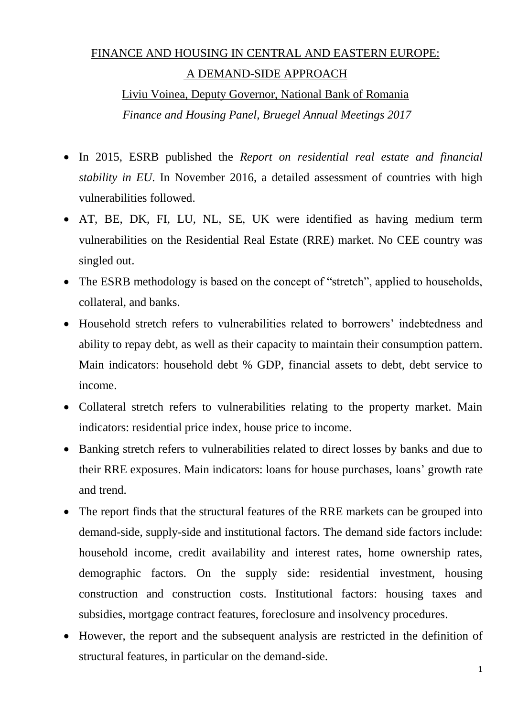### FINANCE AND HOUSING IN CENTRAL AND EASTERN EUROPE: A DEMAND-SIDE APPROACH

Liviu Voinea, Deputy Governor, National Bank of Romania *Finance and Housing Panel, Bruegel Annual Meetings 2017*

- In 2015, ESRB published the *Report on residential real estate and financial stability in EU*. In November 2016, a detailed assessment of countries with high vulnerabilities followed.
- AT, BE, DK, FI, LU, NL, SE, UK were identified as having medium term vulnerabilities on the Residential Real Estate (RRE) market. No CEE country was singled out.
- The ESRB methodology is based on the concept of "stretch", applied to households, collateral, and banks.
- Household stretch refers to vulnerabilities related to borrowers' indebtedness and ability to repay debt, as well as their capacity to maintain their consumption pattern. Main indicators: household debt % GDP, financial assets to debt, debt service to income.
- Collateral stretch refers to vulnerabilities relating to the property market. Main indicators: residential price index, house price to income.
- Banking stretch refers to vulnerabilities related to direct losses by banks and due to their RRE exposures. Main indicators: loans for house purchases, loans' growth rate and trend.
- The report finds that the structural features of the RRE markets can be grouped into demand-side, supply-side and institutional factors. The demand side factors include: household income, credit availability and interest rates, home ownership rates, demographic factors. On the supply side: residential investment, housing construction and construction costs. Institutional factors: housing taxes and subsidies, mortgage contract features, foreclosure and insolvency procedures.
- However, the report and the subsequent analysis are restricted in the definition of structural features, in particular on the demand-side.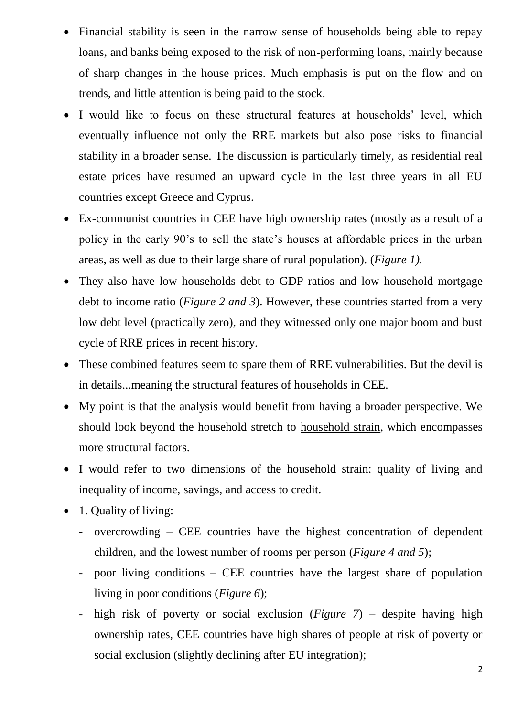- Financial stability is seen in the narrow sense of households being able to repay loans, and banks being exposed to the risk of non-performing loans, mainly because of sharp changes in the house prices. Much emphasis is put on the flow and on trends, and little attention is being paid to the stock.
- I would like to focus on these structural features at households' level, which eventually influence not only the RRE markets but also pose risks to financial stability in a broader sense. The discussion is particularly timely, as residential real estate prices have resumed an upward cycle in the last three years in all EU countries except Greece and Cyprus.
- Ex-communist countries in CEE have high ownership rates (mostly as a result of a policy in the early 90's to sell the state's houses at affordable prices in the urban areas, as well as due to their large share of rural population). (*Figure 1).*
- They also have low households debt to GDP ratios and low household mortgage debt to income ratio (*Figure 2 and 3*). However, these countries started from a very low debt level (practically zero), and they witnessed only one major boom and bust cycle of RRE prices in recent history.
- These combined features seem to spare them of RRE vulnerabilities. But the devil is in details...meaning the structural features of households in CEE.
- My point is that the analysis would benefit from having a broader perspective. We should look beyond the household stretch to household strain, which encompasses more structural factors.
- I would refer to two dimensions of the household strain: quality of living and inequality of income, savings, and access to credit.
- 1. Quality of living:
	- overcrowding CEE countries have the highest concentration of dependent children, and the lowest number of rooms per person (*Figure 4 and 5*);
	- poor living conditions  $-$  CEE countries have the largest share of population living in poor conditions (*Figure 6*);
	- high risk of poverty or social exclusion (*Figure 7*) despite having high ownership rates, CEE countries have high shares of people at risk of poverty or social exclusion (slightly declining after EU integration);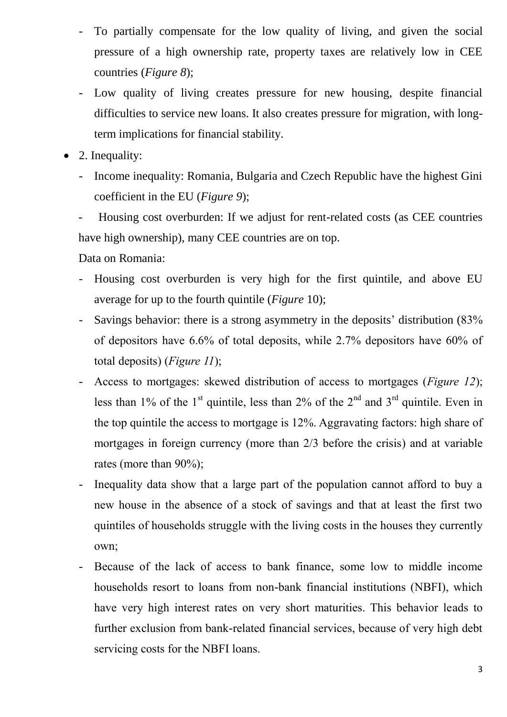- To partially compensate for the low quality of living, and given the social pressure of a high ownership rate, property taxes are relatively low in CEE countries (*Figure 8*);
- Low quality of living creates pressure for new housing, despite financial difficulties to service new loans. It also creates pressure for migration, with longterm implications for financial stability.
- 2. Inequality:
	- Income inequality: Romania, Bulgaria and Czech Republic have the highest Gini coefficient in the EU (*Figure 9*);

- Housing cost overburden: If we adjust for rent-related costs (as CEE countries have high ownership), many CEE countries are on top.

Data on Romania:

- Housing cost overburden is very high for the first quintile, and above EU average for up to the fourth quintile (*Figure* 10);
- Savings behavior: there is a strong asymmetry in the deposits' distribution (83% of depositors have 6.6% of total deposits, while 2.7% depositors have 60% of total deposits) (*Figure 11*);
- Access to mortgages: skewed distribution of access to mortgages (*Figure 12*); less than 1% of the 1<sup>st</sup> quintile, less than 2% of the 2<sup>nd</sup> and 3<sup>rd</sup> quintile. Even in the top quintile the access to mortgage is 12%. Aggravating factors: high share of mortgages in foreign currency (more than 2/3 before the crisis) and at variable rates (more than 90%);
- Inequality data show that a large part of the population cannot afford to buy a new house in the absence of a stock of savings and that at least the first two quintiles of households struggle with the living costs in the houses they currently own;
- Because of the lack of access to bank finance, some low to middle income households resort to loans from non-bank financial institutions (NBFI), which have very high interest rates on very short maturities. This behavior leads to further exclusion from bank-related financial services, because of very high debt servicing costs for the NBFI loans.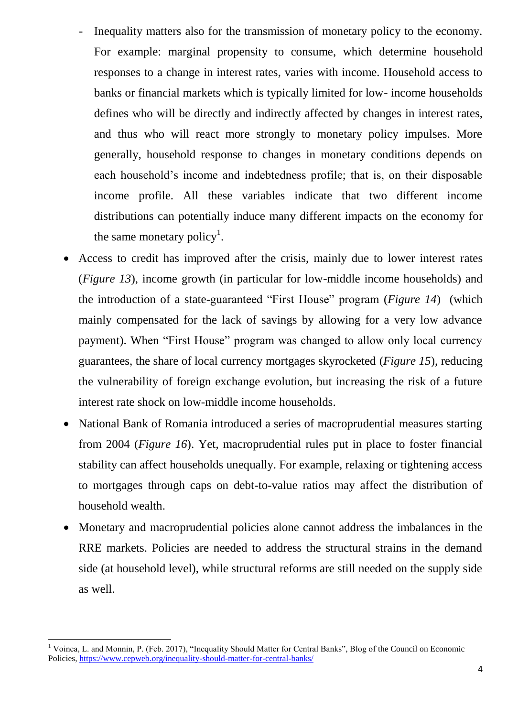- Inequality matters also for the transmission of monetary policy to the economy. For example: marginal propensity to consume, which determine household responses to a change in interest rates, varies with income. Household access to banks or financial markets which is typically limited for low- income households defines who will be directly and indirectly affected by changes in interest rates, and thus who will react more strongly to monetary policy impulses. More generally, household response to changes in monetary conditions depends on each household's income and indebtedness profile; that is, on their disposable income profile. All these variables indicate that two different income distributions can potentially induce many different impacts on the economy for the same monetary policy<sup>1</sup>.
- Access to credit has improved after the crisis, mainly due to lower interest rates (*Figure 13*), income growth (in particular for low-middle income households) and the introduction of a state-guaranteed "First House" program (*Figure 14*) (which mainly compensated for the lack of savings by allowing for a very low advance payment). When "First House" program was changed to allow only local currency guarantees, the share of local currency mortgages skyrocketed (*Figure 15*), reducing the vulnerability of foreign exchange evolution, but increasing the risk of a future interest rate shock on low-middle income households.
- National Bank of Romania introduced a series of macroprudential measures starting from 2004 (*Figure 16*). Yet, macroprudential rules put in place to foster financial stability can affect households unequally. For example, relaxing or tightening access to mortgages through caps on debt-to-value ratios may affect the distribution of household wealth.
- Monetary and macroprudential policies alone cannot address the imbalances in the RRE markets. Policies are needed to address the structural strains in the demand side (at household level), while structural reforms are still needed on the supply side as well.

-

<sup>&</sup>lt;sup>1</sup> Voinea, L. and Monnin, P. (Feb. 2017), "Inequality Should Matter for Central Banks", Blog of the Council on Economic Policies,<https://www.cepweb.org/inequality-should-matter-for-central-banks/>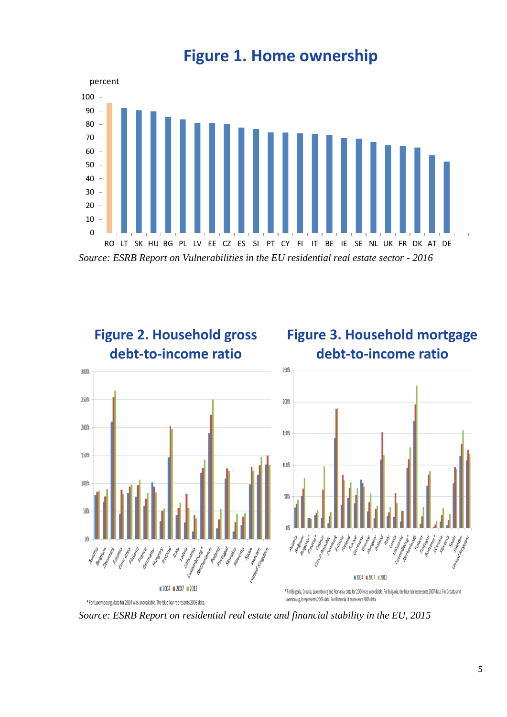

**Figure 1. Home ownership**



*Source: ESRB Report on residential real estate and financial stability in the EU, 2015*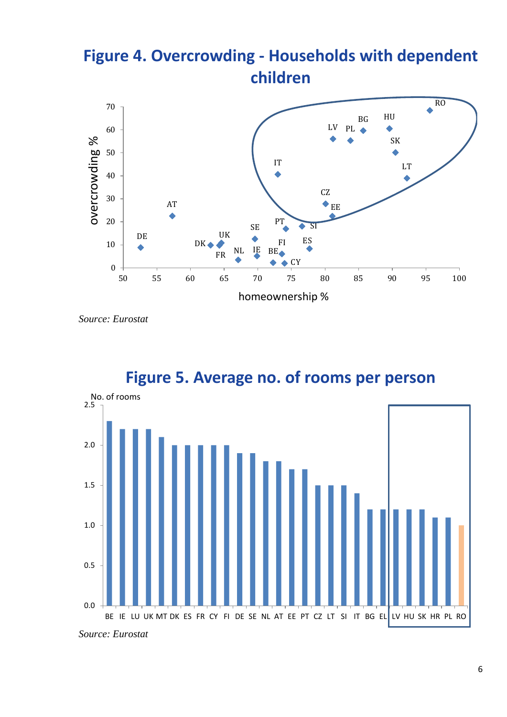# **Figure 4. Overcrowding - Households with dependent children**



*Source: Eurostat*



**Figure 5. Average no. of rooms per person**

*Source: Eurostat*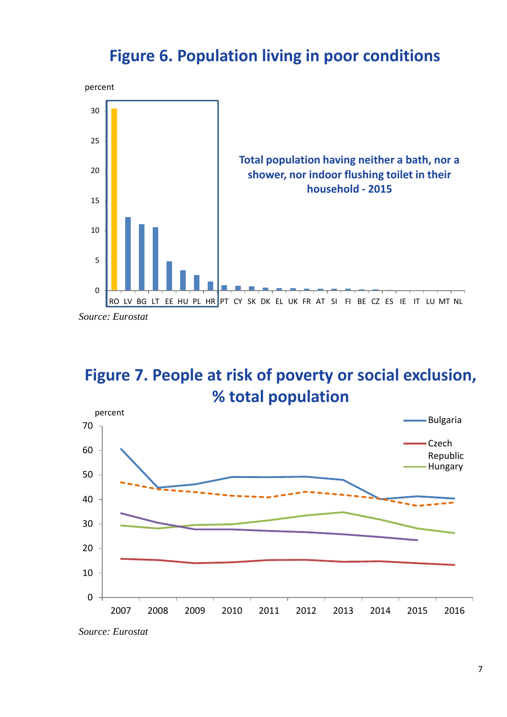### **Figure 6. Population living in poor conditions**



*Source: Eurostat*

# **Figure 7. People at risk of poverty or social exclusion, % total population**



*Source: Eurostat*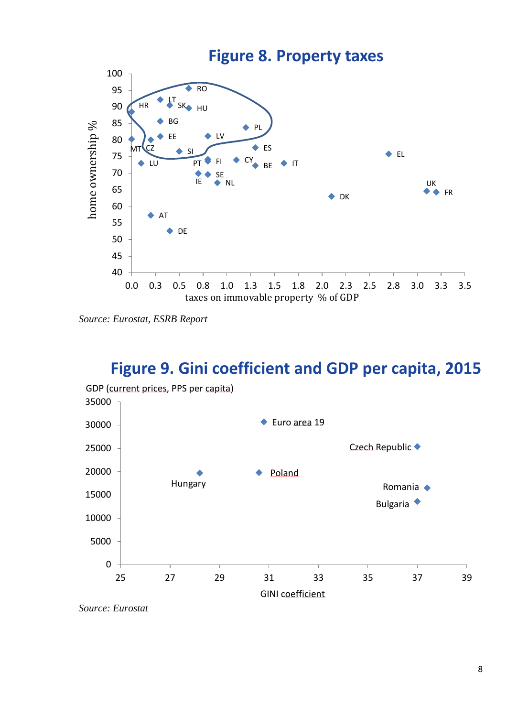

*Source: Eurostat, ESRB Report*

#### **Figure 9. Gini coefficient and GDP per capita, 2015**



*Source: Eurostat*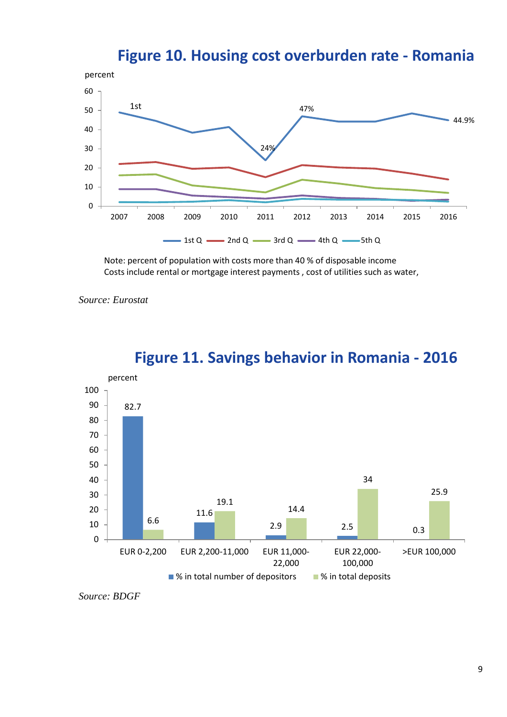#### **Figure 10. Housing cost overburden rate - Romania**



Note: percent of population with costs more than 40 % of disposable income Costs include rental or mortgage interest payments , cost of utilities such as water,

*Source: Eurostat*



#### **Figure 11. Savings behavior in Romania - 2016**

*Source: BDGF*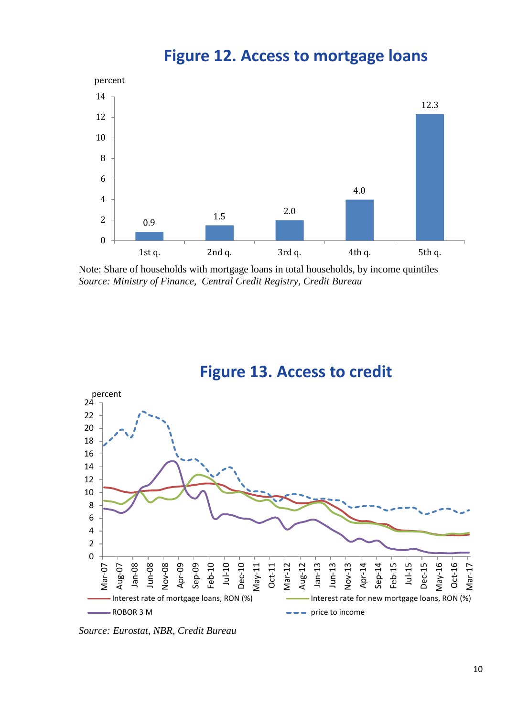

**Figure 12. Access to mortgage loans**

Note: Share of households with mortgage loans in total households, by income quintiles *Source: Ministry of Finance, Central Credit Registry, Credit Bureau*





*Source: Eurostat, NBR, Credit Bureau*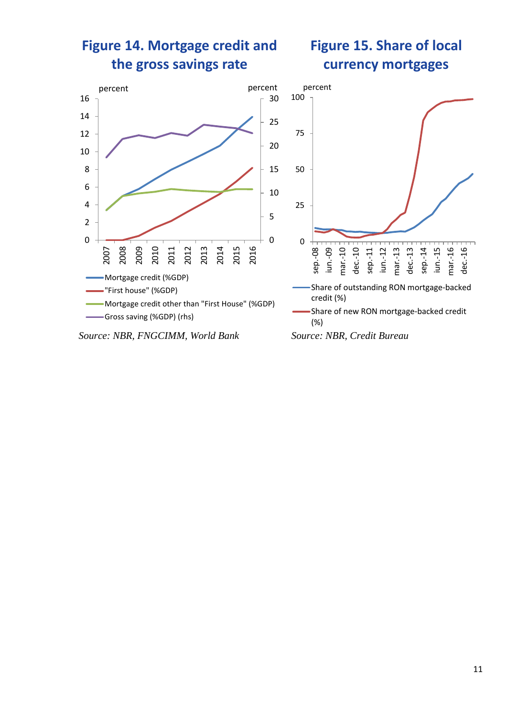

*Source: NBR, FNGCIMM, World Bank Source: NBR, Credit Bureau*